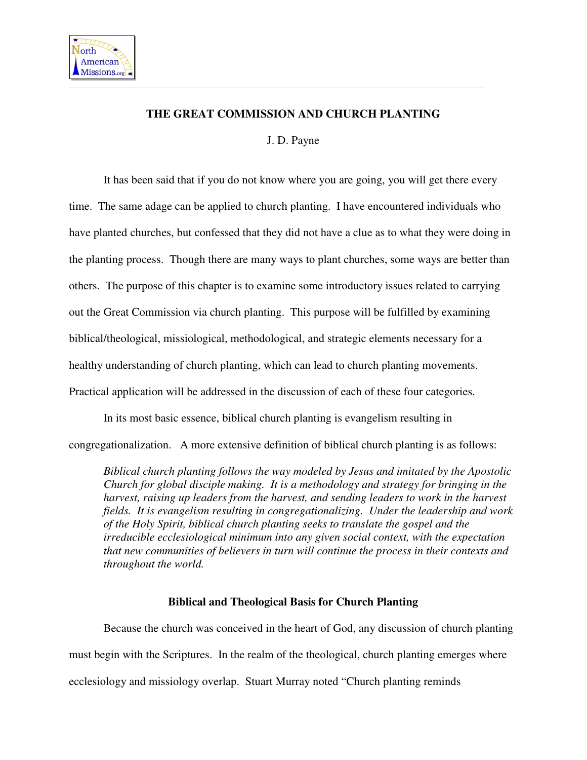

# **THE GREAT COMMISSION AND CHURCH PLANTING**

J. D. Payne

 It has been said that if you do not know where you are going, you will get there every time. The same adage can be applied to church planting. I have encountered individuals who have planted churches, but confessed that they did not have a clue as to what they were doing in the planting process. Though there are many ways to plant churches, some ways are better than others. The purpose of this chapter is to examine some introductory issues related to carrying out the Great Commission via church planting. This purpose will be fulfilled by examining biblical/theological, missiological, methodological, and strategic elements necessary for a healthy understanding of church planting, which can lead to church planting movements. Practical application will be addressed in the discussion of each of these four categories.

In its most basic essence, biblical church planting is evangelism resulting in congregationalization. A more extensive definition of biblical church planting is as follows:

*Biblical church planting follows the way modeled by Jesus and imitated by the Apostolic Church for global disciple making. It is a methodology and strategy for bringing in the harvest, raising up leaders from the harvest, and sending leaders to work in the harvest fields. It is evangelism resulting in congregationalizing. Under the leadership and work of the Holy Spirit, biblical church planting seeks to translate the gospel and the irreducible ecclesiological minimum into any given social context, with the expectation that new communities of believers in turn will continue the process in their contexts and throughout the world.* 

# **Biblical and Theological Basis for Church Planting**

 Because the church was conceived in the heart of God, any discussion of church planting must begin with the Scriptures. In the realm of the theological, church planting emerges where ecclesiology and missiology overlap. Stuart Murray noted "Church planting reminds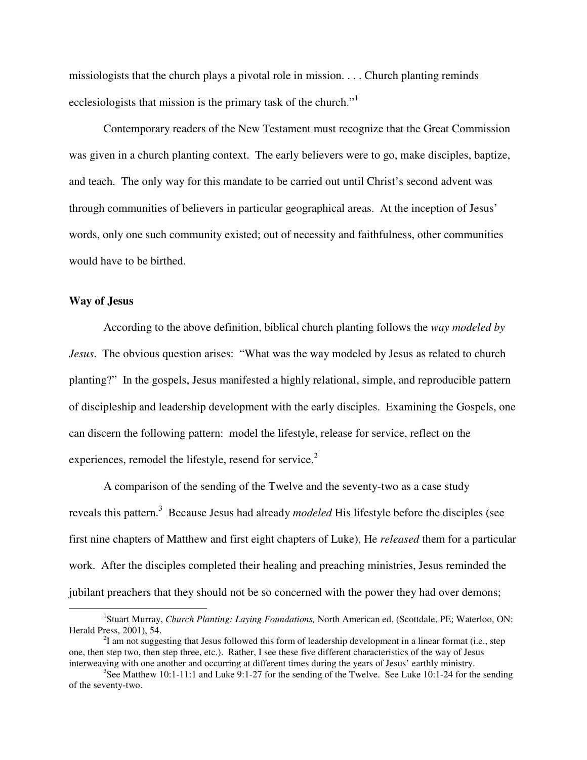missiologists that the church plays a pivotal role in mission. . . . Church planting reminds ecclesiologists that mission is the primary task of the church."<sup>1</sup>

 Contemporary readers of the New Testament must recognize that the Great Commission was given in a church planting context. The early believers were to go, make disciples, baptize, and teach. The only way for this mandate to be carried out until Christ's second advent was through communities of believers in particular geographical areas. At the inception of Jesus' words, only one such community existed; out of necessity and faithfulness, other communities would have to be birthed.

# **Way of Jesus**

 $\overline{a}$ 

 According to the above definition, biblical church planting follows the *way modeled by Jesus*. The obvious question arises: "What was the way modeled by Jesus as related to church planting?" In the gospels, Jesus manifested a highly relational, simple, and reproducible pattern of discipleship and leadership development with the early disciples. Examining the Gospels, one can discern the following pattern: model the lifestyle, release for service, reflect on the experiences, remodel the lifestyle, resend for service. $2$ 

 A comparison of the sending of the Twelve and the seventy-two as a case study reveals this pattern.<sup>3</sup> Because Jesus had already *modeled* His lifestyle before the disciples (see first nine chapters of Matthew and first eight chapters of Luke), He *released* them for a particular work. After the disciples completed their healing and preaching ministries, Jesus reminded the jubilant preachers that they should not be so concerned with the power they had over demons;

<sup>&</sup>lt;sup>1</sup>Stuart Murray, *Church Planting: Laying Foundations*, North American ed. (Scottdale, PE; Waterloo, ON: Herald Press, 2001), 54.

 $2$ I am not suggesting that Jesus followed this form of leadership development in a linear format (i.e., step one, then step two, then step three, etc.). Rather, I see these five different characteristics of the way of Jesus interweaving with one another and occurring at different times during the years of Jesus' earthly ministry.

<sup>&</sup>lt;sup>3</sup>See Matthew 10:1-11:1 and Luke 9:1-27 for the sending of the Twelve. See Luke 10:1-24 for the sending of the seventy-two.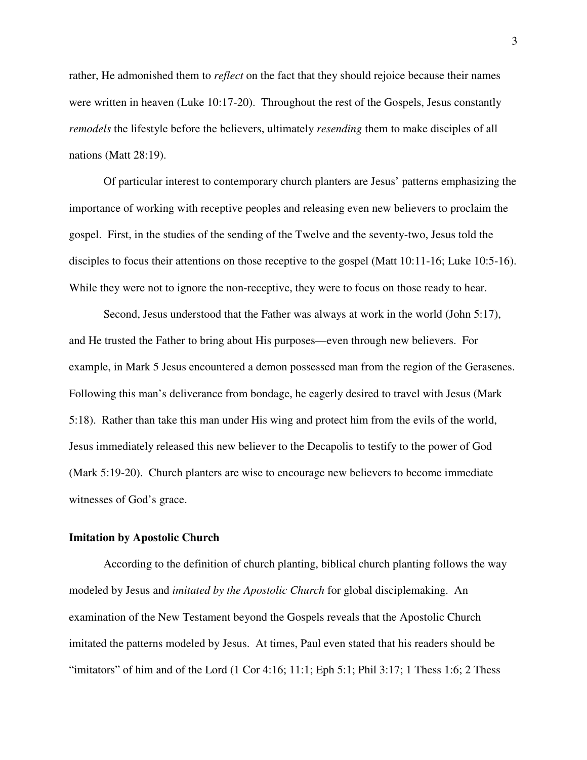rather, He admonished them to *reflect* on the fact that they should rejoice because their names were written in heaven (Luke 10:17-20). Throughout the rest of the Gospels, Jesus constantly *remodels* the lifestyle before the believers, ultimately *resending* them to make disciples of all nations (Matt 28:19).

 Of particular interest to contemporary church planters are Jesus' patterns emphasizing the importance of working with receptive peoples and releasing even new believers to proclaim the gospel. First, in the studies of the sending of the Twelve and the seventy-two, Jesus told the disciples to focus their attentions on those receptive to the gospel (Matt 10:11-16; Luke 10:5-16). While they were not to ignore the non-receptive, they were to focus on those ready to hear.

Second, Jesus understood that the Father was always at work in the world (John 5:17), and He trusted the Father to bring about His purposes—even through new believers. For example, in Mark 5 Jesus encountered a demon possessed man from the region of the Gerasenes. Following this man's deliverance from bondage, he eagerly desired to travel with Jesus (Mark 5:18). Rather than take this man under His wing and protect him from the evils of the world, Jesus immediately released this new believer to the Decapolis to testify to the power of God (Mark 5:19-20). Church planters are wise to encourage new believers to become immediate witnesses of God's grace.

### **Imitation by Apostolic Church**

 According to the definition of church planting, biblical church planting follows the way modeled by Jesus and *imitated by the Apostolic Church* for global disciplemaking. An examination of the New Testament beyond the Gospels reveals that the Apostolic Church imitated the patterns modeled by Jesus. At times, Paul even stated that his readers should be "imitators" of him and of the Lord (1 Cor 4:16; 11:1; Eph 5:1; Phil 3:17; 1 Thess 1:6; 2 Thess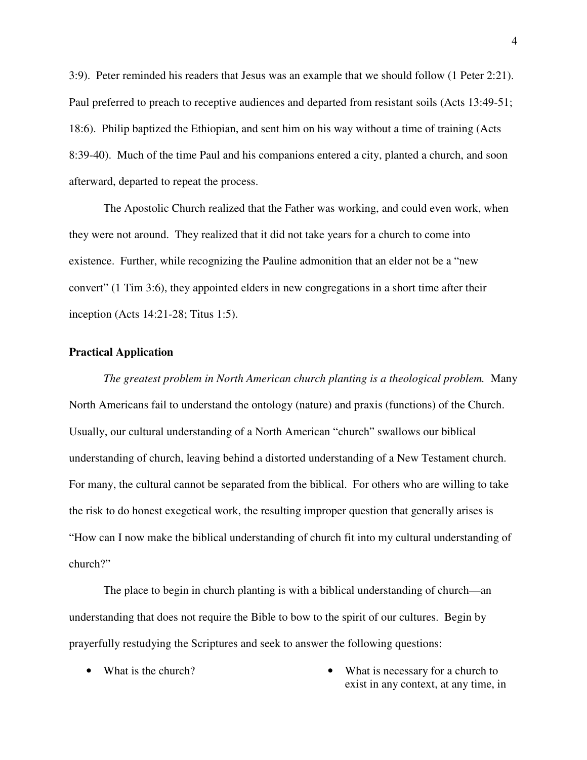3:9). Peter reminded his readers that Jesus was an example that we should follow (1 Peter 2:21). Paul preferred to preach to receptive audiences and departed from resistant soils (Acts 13:49-51; 18:6). Philip baptized the Ethiopian, and sent him on his way without a time of training (Acts 8:39-40). Much of the time Paul and his companions entered a city, planted a church, and soon afterward, departed to repeat the process.

The Apostolic Church realized that the Father was working, and could even work, when they were not around. They realized that it did not take years for a church to come into existence. Further, while recognizing the Pauline admonition that an elder not be a "new convert" (1 Tim 3:6), they appointed elders in new congregations in a short time after their inception (Acts 14:21-28; Titus 1:5).

#### **Practical Application**

*The greatest problem in North American church planting is a theological problem.* Many North Americans fail to understand the ontology (nature) and praxis (functions) of the Church. Usually, our cultural understanding of a North American "church" swallows our biblical understanding of church, leaving behind a distorted understanding of a New Testament church. For many, the cultural cannot be separated from the biblical. For others who are willing to take the risk to do honest exegetical work, the resulting improper question that generally arises is "How can I now make the biblical understanding of church fit into my cultural understanding of church?"

 The place to begin in church planting is with a biblical understanding of church—an understanding that does not require the Bible to bow to the spirit of our cultures. Begin by prayerfully restudying the Scriptures and seek to answer the following questions:

- 
- What is the church? What is necessary for a church to exist in any context, at any time, in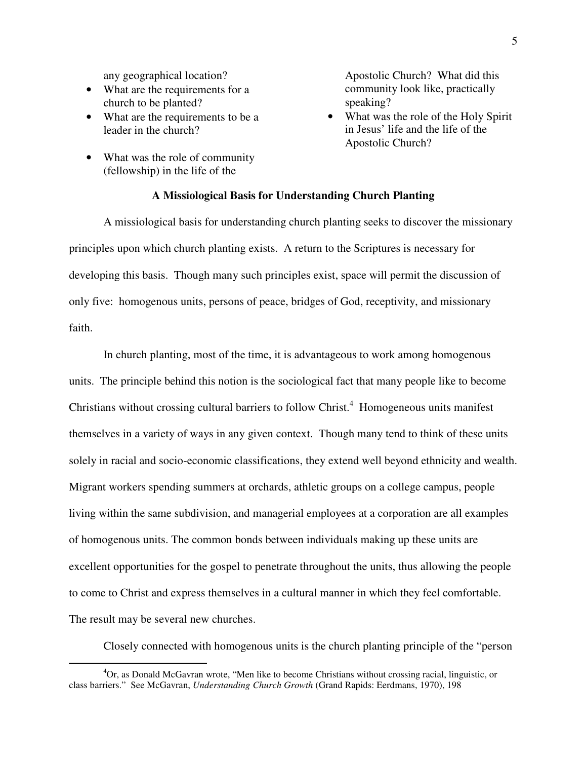any geographical location?

- What are the requirements for a church to be planted?
- What are the requirements to be a leader in the church?
- What was the role of community (fellowship) in the life of the

 $\overline{a}$ 

Apostolic Church? What did this community look like, practically speaking?

• What was the role of the Holy Spirit in Jesus' life and the life of the Apostolic Church?

# **A Missiological Basis for Understanding Church Planting**

 A missiological basis for understanding church planting seeks to discover the missionary principles upon which church planting exists. A return to the Scriptures is necessary for developing this basis. Though many such principles exist, space will permit the discussion of only five: homogenous units, persons of peace, bridges of God, receptivity, and missionary faith.

 In church planting, most of the time, it is advantageous to work among homogenous units. The principle behind this notion is the sociological fact that many people like to become Christians without crossing cultural barriers to follow Christ.<sup>4</sup> Homogeneous units manifest themselves in a variety of ways in any given context. Though many tend to think of these units solely in racial and socio-economic classifications, they extend well beyond ethnicity and wealth. Migrant workers spending summers at orchards, athletic groups on a college campus, people living within the same subdivision, and managerial employees at a corporation are all examples of homogenous units. The common bonds between individuals making up these units are excellent opportunities for the gospel to penetrate throughout the units, thus allowing the people to come to Christ and express themselves in a cultural manner in which they feel comfortable. The result may be several new churches.

Closely connected with homogenous units is the church planting principle of the "person

<sup>4</sup>Or, as Donald McGavran wrote, "Men like to become Christians without crossing racial, linguistic, or class barriers." See McGavran, *Understanding Church Growth* (Grand Rapids: Eerdmans, 1970), 198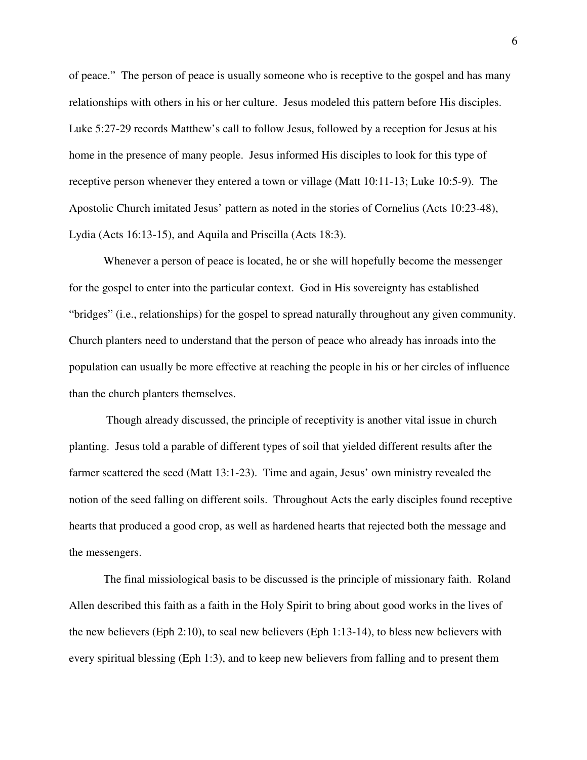of peace." The person of peace is usually someone who is receptive to the gospel and has many relationships with others in his or her culture. Jesus modeled this pattern before His disciples. Luke 5:27-29 records Matthew's call to follow Jesus, followed by a reception for Jesus at his home in the presence of many people. Jesus informed His disciples to look for this type of receptive person whenever they entered a town or village (Matt 10:11-13; Luke 10:5-9). The Apostolic Church imitated Jesus' pattern as noted in the stories of Cornelius (Acts 10:23-48), Lydia (Acts 16:13-15), and Aquila and Priscilla (Acts 18:3).

 Whenever a person of peace is located, he or she will hopefully become the messenger for the gospel to enter into the particular context. God in His sovereignty has established "bridges" (i.e., relationships) for the gospel to spread naturally throughout any given community. Church planters need to understand that the person of peace who already has inroads into the population can usually be more effective at reaching the people in his or her circles of influence than the church planters themselves.

 Though already discussed, the principle of receptivity is another vital issue in church planting. Jesus told a parable of different types of soil that yielded different results after the farmer scattered the seed (Matt 13:1-23). Time and again, Jesus' own ministry revealed the notion of the seed falling on different soils. Throughout Acts the early disciples found receptive hearts that produced a good crop, as well as hardened hearts that rejected both the message and the messengers.

 The final missiological basis to be discussed is the principle of missionary faith. Roland Allen described this faith as a faith in the Holy Spirit to bring about good works in the lives of the new believers (Eph 2:10), to seal new believers (Eph 1:13-14), to bless new believers with every spiritual blessing (Eph 1:3), and to keep new believers from falling and to present them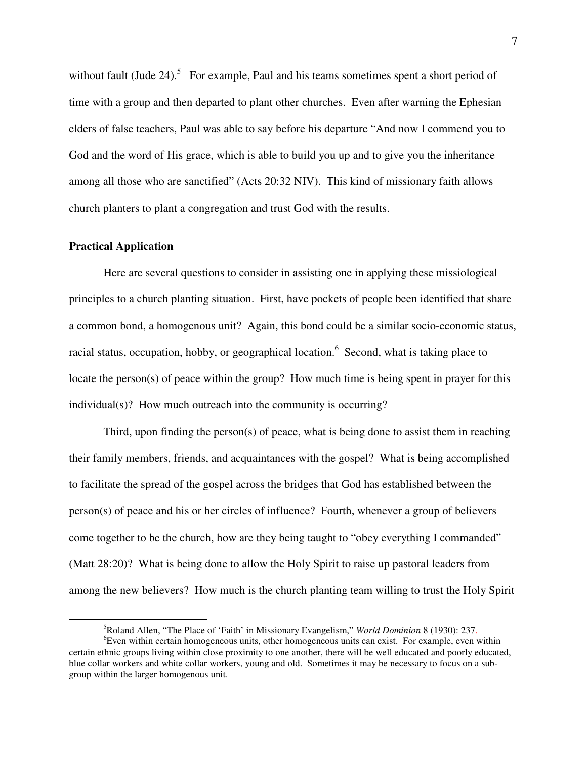without fault (Jude 24).<sup>5</sup> For example, Paul and his teams sometimes spent a short period of time with a group and then departed to plant other churches. Even after warning the Ephesian elders of false teachers, Paul was able to say before his departure "And now I commend you to God and the word of His grace, which is able to build you up and to give you the inheritance among all those who are sanctified" (Acts 20:32 NIV). This kind of missionary faith allows church planters to plant a congregation and trust God with the results.

### **Practical Application**

 $\overline{a}$ 

 Here are several questions to consider in assisting one in applying these missiological principles to a church planting situation. First, have pockets of people been identified that share a common bond, a homogenous unit? Again, this bond could be a similar socio-economic status, racial status, occupation, hobby, or geographical location. <sup>6</sup> Second, what is taking place to locate the person(s) of peace within the group? How much time is being spent in prayer for this individual(s)? How much outreach into the community is occurring?

Third, upon finding the person(s) of peace, what is being done to assist them in reaching their family members, friends, and acquaintances with the gospel? What is being accomplished to facilitate the spread of the gospel across the bridges that God has established between the person(s) of peace and his or her circles of influence? Fourth, whenever a group of believers come together to be the church, how are they being taught to "obey everything I commanded" (Matt 28:20)? What is being done to allow the Holy Spirit to raise up pastoral leaders from among the new believers? How much is the church planting team willing to trust the Holy Spirit

<sup>5</sup>Roland Allen, "The Place of 'Faith' in Missionary Evangelism," *World Dominion* 8 (1930): 237.

 $6E$ ven within certain homogeneous units, other homogeneous units can exist. For example, even within certain ethnic groups living within close proximity to one another, there will be well educated and poorly educated, blue collar workers and white collar workers, young and old. Sometimes it may be necessary to focus on a subgroup within the larger homogenous unit.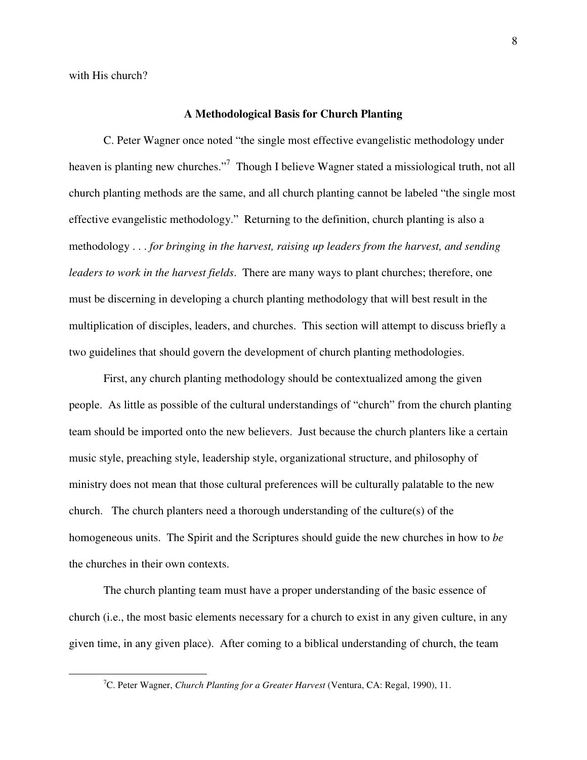with His church?

l

#### **A Methodological Basis for Church Planting**

 C. Peter Wagner once noted "the single most effective evangelistic methodology under heaven is planting new churches."<sup>7</sup> Though I believe Wagner stated a missiological truth, not all church planting methods are the same, and all church planting cannot be labeled "the single most effective evangelistic methodology." Returning to the definition, church planting is also a methodology . . . *for bringing in the harvest, raising up leaders from the harvest, and sending leaders to work in the harvest fields*. There are many ways to plant churches; therefore, one must be discerning in developing a church planting methodology that will best result in the multiplication of disciples, leaders, and churches. This section will attempt to discuss briefly a two guidelines that should govern the development of church planting methodologies.

 First, any church planting methodology should be contextualized among the given people. As little as possible of the cultural understandings of "church" from the church planting team should be imported onto the new believers. Just because the church planters like a certain music style, preaching style, leadership style, organizational structure, and philosophy of ministry does not mean that those cultural preferences will be culturally palatable to the new church. The church planters need a thorough understanding of the culture(s) of the homogeneous units. The Spirit and the Scriptures should guide the new churches in how to *be* the churches in their own contexts.

 The church planting team must have a proper understanding of the basic essence of church (i.e., the most basic elements necessary for a church to exist in any given culture, in any given time, in any given place). After coming to a biblical understanding of church, the team

<sup>7</sup>C. Peter Wagner, *Church Planting for a Greater Harvest* (Ventura, CA: Regal, 1990), 11.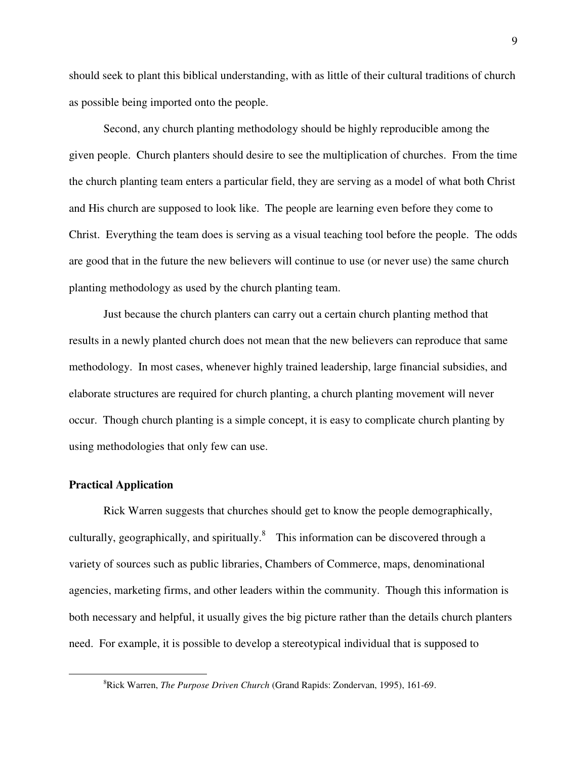should seek to plant this biblical understanding, with as little of their cultural traditions of church as possible being imported onto the people.

 Second, any church planting methodology should be highly reproducible among the given people. Church planters should desire to see the multiplication of churches. From the time the church planting team enters a particular field, they are serving as a model of what both Christ and His church are supposed to look like. The people are learning even before they come to Christ. Everything the team does is serving as a visual teaching tool before the people. The odds are good that in the future the new believers will continue to use (or never use) the same church planting methodology as used by the church planting team.

Just because the church planters can carry out a certain church planting method that results in a newly planted church does not mean that the new believers can reproduce that same methodology. In most cases, whenever highly trained leadership, large financial subsidies, and elaborate structures are required for church planting, a church planting movement will never occur. Though church planting is a simple concept, it is easy to complicate church planting by using methodologies that only few can use.

# **Practical Application**

l

Rick Warren suggests that churches should get to know the people demographically, culturally, geographically, and spiritually. $^{8}$  This information can be discovered through a variety of sources such as public libraries, Chambers of Commerce, maps, denominational agencies, marketing firms, and other leaders within the community. Though this information is both necessary and helpful, it usually gives the big picture rather than the details church planters need. For example, it is possible to develop a stereotypical individual that is supposed to

<sup>8</sup>Rick Warren, *The Purpose Driven Church* (Grand Rapids: Zondervan, 1995), 161-69.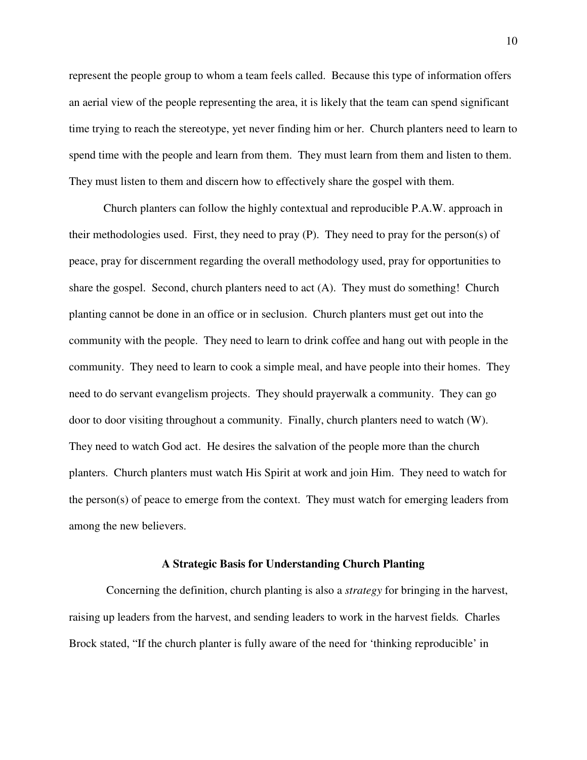represent the people group to whom a team feels called. Because this type of information offers an aerial view of the people representing the area, it is likely that the team can spend significant time trying to reach the stereotype, yet never finding him or her. Church planters need to learn to spend time with the people and learn from them. They must learn from them and listen to them. They must listen to them and discern how to effectively share the gospel with them.

 Church planters can follow the highly contextual and reproducible P.A.W. approach in their methodologies used. First, they need to pray (P). They need to pray for the person(s) of peace, pray for discernment regarding the overall methodology used, pray for opportunities to share the gospel. Second, church planters need to act (A). They must do something! Church planting cannot be done in an office or in seclusion. Church planters must get out into the community with the people. They need to learn to drink coffee and hang out with people in the community. They need to learn to cook a simple meal, and have people into their homes. They need to do servant evangelism projects. They should prayerwalk a community. They can go door to door visiting throughout a community. Finally, church planters need to watch (W). They need to watch God act. He desires the salvation of the people more than the church planters. Church planters must watch His Spirit at work and join Him. They need to watch for the person(s) of peace to emerge from the context. They must watch for emerging leaders from among the new believers.

### **A Strategic Basis for Understanding Church Planting**

 Concerning the definition, church planting is also a *strategy* for bringing in the harvest, raising up leaders from the harvest, and sending leaders to work in the harvest fields*.* Charles Brock stated, "If the church planter is fully aware of the need for 'thinking reproducible' in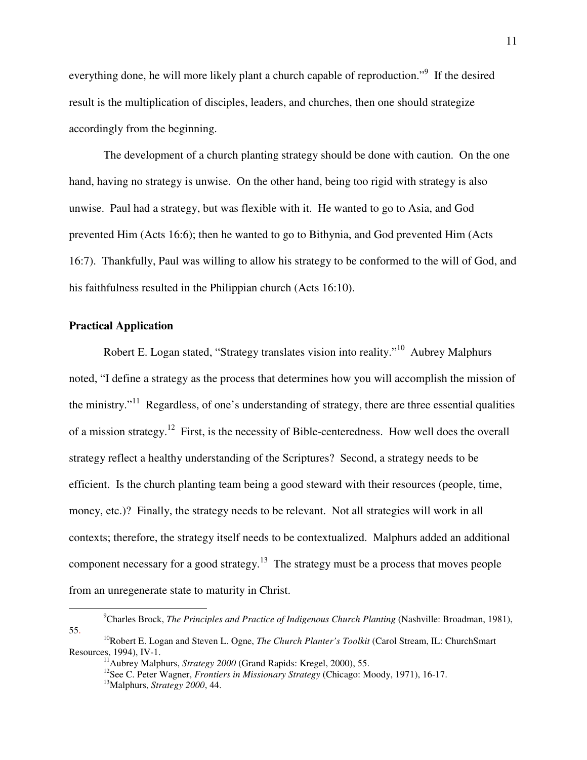everything done, he will more likely plant a church capable of reproduction."<sup>9</sup> If the desired result is the multiplication of disciples, leaders, and churches, then one should strategize accordingly from the beginning.

The development of a church planting strategy should be done with caution. On the one hand, having no strategy is unwise. On the other hand, being too rigid with strategy is also unwise. Paul had a strategy, but was flexible with it. He wanted to go to Asia, and God prevented Him (Acts 16:6); then he wanted to go to Bithynia, and God prevented Him (Acts 16:7). Thankfully, Paul was willing to allow his strategy to be conformed to the will of God, and his faithfulness resulted in the Philippian church (Acts 16:10).

### **Practical Application**

l

Robert E. Logan stated, "Strategy translates vision into reality."<sup>10</sup> Aubrey Malphurs noted, "I define a strategy as the process that determines how you will accomplish the mission of the ministry."<sup>11</sup> Regardless, of one's understanding of strategy, there are three essential qualities of a mission strategy.<sup>12</sup> First, is the necessity of Bible-centeredness. How well does the overall strategy reflect a healthy understanding of the Scriptures? Second, a strategy needs to be efficient. Is the church planting team being a good steward with their resources (people, time, money, etc.)? Finally, the strategy needs to be relevant. Not all strategies will work in all contexts; therefore, the strategy itself needs to be contextualized. Malphurs added an additional component necessary for a good strategy.<sup>13</sup> The strategy must be a process that moves people from an unregenerate state to maturity in Christ.

<sup>9</sup>Charles Brock, *The Principles and Practice of Indigenous Church Planting* (Nashville: Broadman, 1981), 55.

<sup>10</sup>Robert E. Logan and Steven L. Ogne, *The Church Planter's Toolkit* (Carol Stream, IL: ChurchSmart Resources, 1994), IV-1.

<sup>&</sup>lt;sup>11</sup> Aubrey Malphurs, *Strategy 2000* (Grand Rapids: Kregel, 2000), 55.

<sup>&</sup>lt;sup>12</sup>See C. Peter Wagner, *Frontiers in Missionary Strategy* (Chicago: Moody, 1971), 16-17.

<sup>13</sup>Malphurs, *Strategy 2000*, 44.